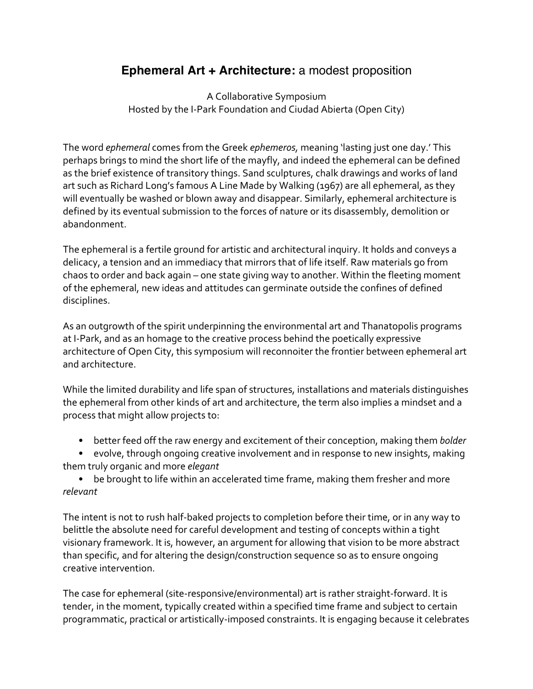## **Ephemeral Art + Architecture:** a modest proposition

A Collaborative Symposium Hosted by the I-Park Foundation and Ciudad Abierta (Open City)

The word *ephemeral* comes from the Greek *ephemeros*, meaning 'lasting just one day.' This perhaps brings to mind the short life of the mayfly, and indeed the ephemeral can be defined as the brief existence of transitory things. Sand sculptures, chalk drawings and works of land art such as Richard Long's famous A Line Made by Walking (1967) are all ephemeral, as they will eventually be washed or blown away and disappear. Similarly, ephemeral architecture is defined by its eventual submission to the forces of nature or its disassembly, demolition or abandonment."

The ephemeral is a fertile ground for artistic and architectural inquiry. It holds and conveys a delicacy, a tension and an immediacy that mirrors that of life itself. Raw materials go from chaos to order and back again – one state giving way to another. Within the fleeting moment of the ephemeral, new ideas and attitudes can germinate outside the confines of defined disciplines.

As an outgrowth of the spirit underpinning the environmental art and Thanatopolis programs at I-Park, and as an homage to the creative process behind the poetically expressive architecture of Open City, this symposium will reconnoiter the frontier between ephemeral art and architecture.

While the limited durability and life span of structures, installations and materials distinguishes the ephemeral from other kinds of art and architecture, the term also implies a mindset and a process that might allow projects to:

• better feed off the raw energy and excitement of their conception, making them *bolder* 

• evolve, through ongoing creative involvement and in response to new insights, making them"truly"organic"and"more"*elegant*

• be brought to life within an accelerated time frame, making them fresher and more *relevant*

The intent is not to rush half-baked projects to completion before their time, or in any way to belittle the absolute need for careful development and testing of concepts within a tight visionary framework. It is, however, an argument for allowing that vision to be more abstract than specific, and for altering the design/construction sequence so as to ensure ongoing creative intervention.

The case for ephemeral (site-responsive/environmental) art is rather straight-forward. It is tender, in the moment, typically created within a specified time frame and subject to certain programmatic, practical or artistically-imposed constraints. It is engaging because it celebrates